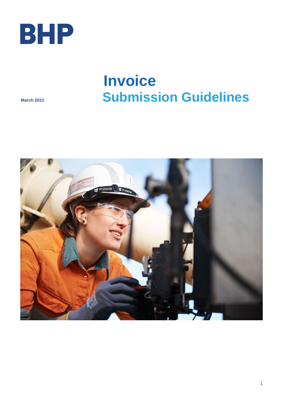

# **Invoice Submission Guidelines**

**March 2021** 

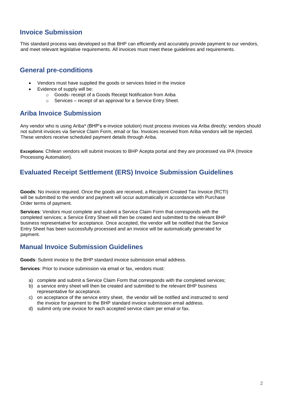## **Invoice Submission**

This standard process was developed so that BHP can efficiently and accurately provide payment to our vendors, and meet relevant legislative requirements. All invoices must meet these guidelines and requirements.

## **General pre-conditions**

- Vendors must have supplied the goods or services listed in the invoice
- Evidence of supply will be:
	- o Goods- receipt of a Goods Receipt Notification from Ariba
	- o Services receipt of an approval for a Service Entry Sheet.

## **Ariba Invoice Submission**

Any vendor who is using Ariba\* (BHP's e-invoice solution) must process invoices via Ariba directly; vendors should not submit invoices via Service Claim Form, email or fax. Invoices received from Ariba vendors will be rejected. These vendors receive scheduled payment details through Ariba.

**Exceptions**: Chilean vendors will submit invoices to BHP Acepta portal and they are processed via IPA (Invoice Processing Automation).

## **Evaluated Receipt Settlement (ERS) Invoice Submission Guidelines**

**Goods**: No invoice required. Once the goods are received, a Recipient Created Tax Invoice (RCTI) will be submitted to the vendor and payment will occur automatically in accordance with Purchase Order terms of payment.

**Services**: Vendors must complete and submit a Service Claim Form that corresponds with the completed services; a Service Entry Sheet will then be created and submitted to the relevant BHP business representative for acceptance. Once accepted, the vendor will be notified that the Service Entry Sheet has been successfully processed and an invoice will be automatically generated for payment.

## **Manual Invoice Submission Guidelines**

**Goods**: Submit invoice to the BHP standard invoice submission email address.

**Services**: Prior to invoice submission via email or fax, vendors must:

- a) complete and submit a Service Claim Form that corresponds with the completed services;
- b) a service entry sheet will then be created and submitted to the relevant BHP business representative for acceptance.
- c) on acceptance of the service entry sheet, the vendor will be notified and instructed to send the invoice for payment to the BHP standard invoice submission email address.
- d) submit only one invoice for each accepted service claim per email or fax.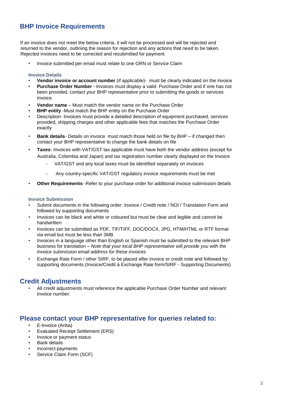# **BHP Invoice Requirements**

If an invoice does not meet the below criteria, it will not be processed and will be rejected and returned to the vendor, outlining the reason for rejection and any actions that need to be taken. Rejected invoices need to be corrected and resubmitted for payment.

• Invoice submitted per email must relate to one GRN or Service Claim

#### **Invoice Details**

- **Vendor invoice or account number** (if applicable)- must be clearly indicated on the invoice
- **Purchase Order Number** Invoices must display a valid Purchase Order and if one has not been provided, contact your BHP representative prior to submitting the goods or services invoice
- **Vendor name** Must match the vendor name on the Purchase Order
- **BHP entity** -Must match the BHP entity on the Purchase Order
- Description- Invoices must provide a detailed description of equipment purchased, services provided, shipping charges and other applicable fees that matches the Purchase Order exactly
- **Bank details** Details on invoice must match those held on file by BHP if changed then contact your BHP representative to change the bank details on file
- **Taxes** Invoices with VAT/GST tax applicable must have both the vendor address (except for Australia, Colombia and Japan) and tax registration number clearly displayed on the Invoice
	- VAT/GST and any local taxes must be identified separately on invoices
	- Any country-specific VAT/GST regulatory invoice requirements must be met
- **Other Requirements** Refer to your purchase order for additional invoice submission details

#### **Invoice Submission**

- Submit documents in the following order: Invoice / Credit note / NOI / Translation Form and followed by supporting documents
- Invoices can be black and white or coloured but must be clear and legible and cannot be handwritten
- Invoices can be submitted as PDF, TIF/TIFF, DOC/DOCX, JPG, HTM/HTML or RTF format via email but must be less than 3MB
- Invoices in a language other than English or Spanish must be submitted to the relevant BHP business for translation – *Note that your local BHP representative will provide you with the invoice submission email address for these invoices*
- Exchange Rate Form / other SIRF, to be placed after invoice or credit note and followed by supporting documents (Invoice/Credit à Exchange Rate form/SIRF - Supporting Documents)

## **Credit Adjustments**

• All credit adjustments must reference the applicable Purchase Order Number and relevant invoice number.

## **Please contact your BHP representative for queries related to:**

- E-Invoice (Ariba)
- Evaluated Receipt Settlement (ERS)
- Invoice or payment status
- Bank details
- Incorrect payments
- Service Claim Form (SCF)